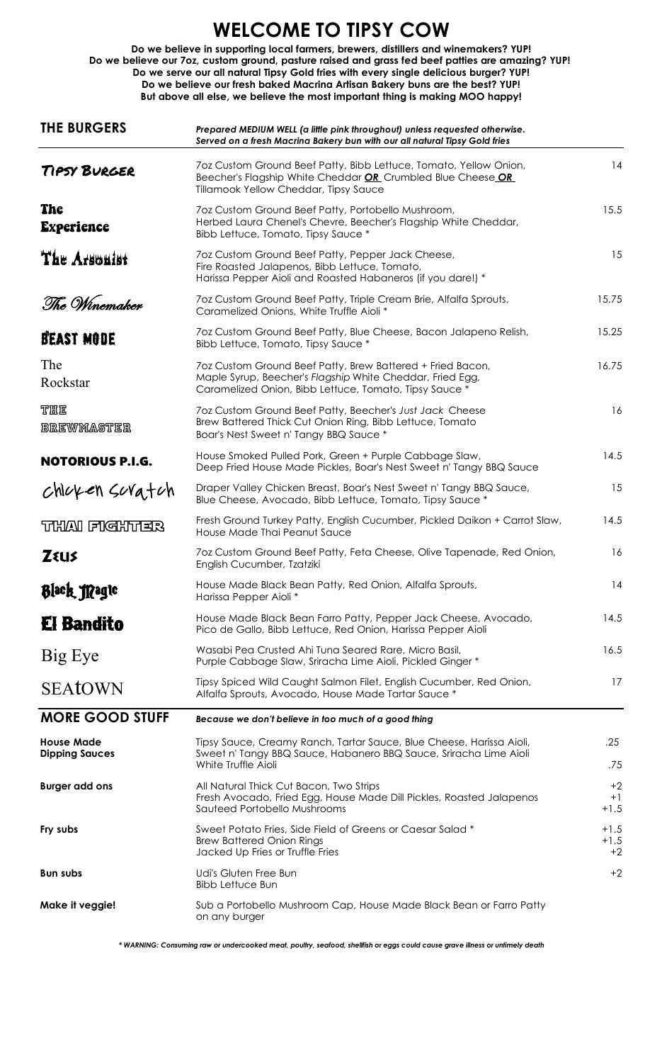## **WELCOME TO TIPSY COW**

**Do we believe in supporting local farmers, brewers, distillers and winemakers? YUP! Do we believe our 7oz, custom ground, pasture raised and grass fed beef patties are amazing? YUP! Do we serve our all natural Tipsy Gold fries with every single delicious burger? YUP! But above all else, we believe the most important thing is making MOO happy! Do we believe our fresh baked Macrina Artisan Bakery buns are the best? YUP!**

| <b>THE BURGERS</b>                         | Prepared MEDIUM WELL (a little pink throughout) unless requested otherwise.<br>Served on a fresh Macrina Bakery bun with our all natural Tipsy Gold fries                         |                          |
|--------------------------------------------|-----------------------------------------------------------------------------------------------------------------------------------------------------------------------------------|--------------------------|
| TIPSY BURGER                               | 7oz Custom Ground Beef Patty, Bibb Lettuce, Tomato, Yellow Onion,<br>Beecher's Flagship White Cheddar OR Crumbled Blue Cheese OR<br>Tillamook Yellow Cheddar, Tipsy Sauce         | 14                       |
| The<br><b>Experience</b>                   | 7oz Custom Ground Beef Patty, Portobello Mushroom,<br>Herbed Laura Chenel's Chevre, Beecher's Flagship White Cheddar,<br>Bibb Lettuce, Tomato, Tipsy Sauce *                      | 15.5                     |
| The Arsonist                               | 7oz Custom Ground Beef Patty, Pepper Jack Cheese,<br>Fire Roasted Jalapenos, Bibb Lettuce, Tomato,<br>Harissa Pepper Aioli and Roasted Habaneros (if you dare!) *                 | 15                       |
| The Winemaker                              | 7oz Custom Ground Beef Patty, Triple Cream Brie, Alfalfa Sprouts,<br>Caramelized Onions, White Truffle Aioli *                                                                    | 15.75                    |
| BEAST MODE                                 | 7oz Custom Ground Beef Patty, Blue Cheese, Bacon Jalapeno Relish,<br>Bibb Lettuce, Tomato, Tipsy Sauce *                                                                          | 15.25                    |
| The<br>Rockstar                            | 7oz Custom Ground Beef Patty, Brew Battered + Fried Bacon,<br>Maple Syrup, Beecher's Flagship White Cheddar, Fried Egg,<br>Caramelized Onion, Bibb Lettuce, Tomato, Tipsy Sauce * | 16.75                    |
| <b>THE</b><br><b>BREWMASTER</b>            | 7oz Custom Ground Beef Patty, Beecher's Just Jack Cheese<br>Brew Battered Thick Cut Onion Ring, Bibb Lettuce, Tomato<br>Boar's Nest Sweet n' Tangy BBQ Sauce *                    | 16                       |
| <b>NOTORIOUS P.I.G.</b>                    | House Smoked Pulled Pork, Green + Purple Cabbage Slaw,<br>Deep Fried House Made Pickles, Boar's Nest Sweet n' Tangy BBQ Sauce                                                     | 14.5                     |
| chicken suratch                            | Draper Valley Chicken Breast, Boar's Nest Sweet n' Tangy BBQ Sauce,<br>Blue Cheese, Avocado, Bibb Lettuce, Tomato, Tipsy Sauce *                                                  | 15                       |
| THAI FIGHTER                               | Fresh Ground Turkey Patty, English Cucumber, Pickled Daikon + Carrot Slaw,<br>House Made Thai Peanut Sauce                                                                        | 14.5                     |
| <b>ZELIS</b>                               | 7oz Custom Ground Beef Patty, Feta Cheese, Olive Tapenade, Red Onion,<br>English Cucumber, Tzatziki                                                                               | 16                       |
| Black Magic                                | House Made Black Bean Patty, Red Onion, Alfalfa Sprouts,<br>Harissa Pepper Aioli *                                                                                                | 14                       |
| <b>El Bandito</b>                          | House Made Black Bean Farro Patty, Pepper Jack Cheese, Avocado,<br>Pico de Gallo, Bibb Lettuce, Red Onion, Harissa Pepper Aioli                                                   | 14.5                     |
| Big Eye                                    | Wasabi Pea Crusted Ahi Tuna Seared Rare, Micro Basil,<br>Purple Cabbage Slaw, Sriracha Lime Aioli, Pickled Ginger *                                                               | 16.5                     |
| <b>SEAtOWN</b>                             | Tipsy Spiced Wild Caught Salmon Filet, English Cucumber, Red Onion,<br>Alfalfa Sprouts, Avocado, House Made Tartar Sauce *                                                        | 17                       |
| <b>MORE GOOD STUFF</b>                     | Because we don't believe in too much of a good thing                                                                                                                              |                          |
| <b>House Made</b><br><b>Dipping Sauces</b> | Tipsy Sauce, Creamy Ranch, Tartar Sauce, Blue Cheese, Harissa Aioli,<br>Sweet n' Tangy BBQ Sauce, Habanero BBQ Sauce, Sriracha Lime Aioli<br>White Truffle Aioli                  | .25<br>.75               |
| <b>Burger add ons</b>                      | All Natural Thick Cut Bacon, Two Strips<br>Fresh Avocado, Fried Egg, House Made Dill Pickles, Roasted Jalapenos<br>Sauteed Portobello Mushrooms                                   | $+2$<br>$+1$<br>$+1.5$   |
| Fry subs                                   | Sweet Potato Fries, Side Field of Greens or Caesar Salad *<br><b>Brew Battered Onion Rings</b><br>Jacked Up Fries or Truffle Fries                                                | $+1.5$<br>$+1.5$<br>$+2$ |
| <b>Bun subs</b>                            | Udi's Gluten Free Bun<br><b>Bibb Lettuce Bun</b>                                                                                                                                  | $+2$                     |
| Make it veggie!                            | Sub a Portobello Mushroom Cap, House Made Black Bean or Farro Patty<br>on any burger                                                                                              |                          |

 *\* WARNING: Consuming raw or undercooked meat, poultry, seafood, shellfish or eggs could cause grave illness or untimely death*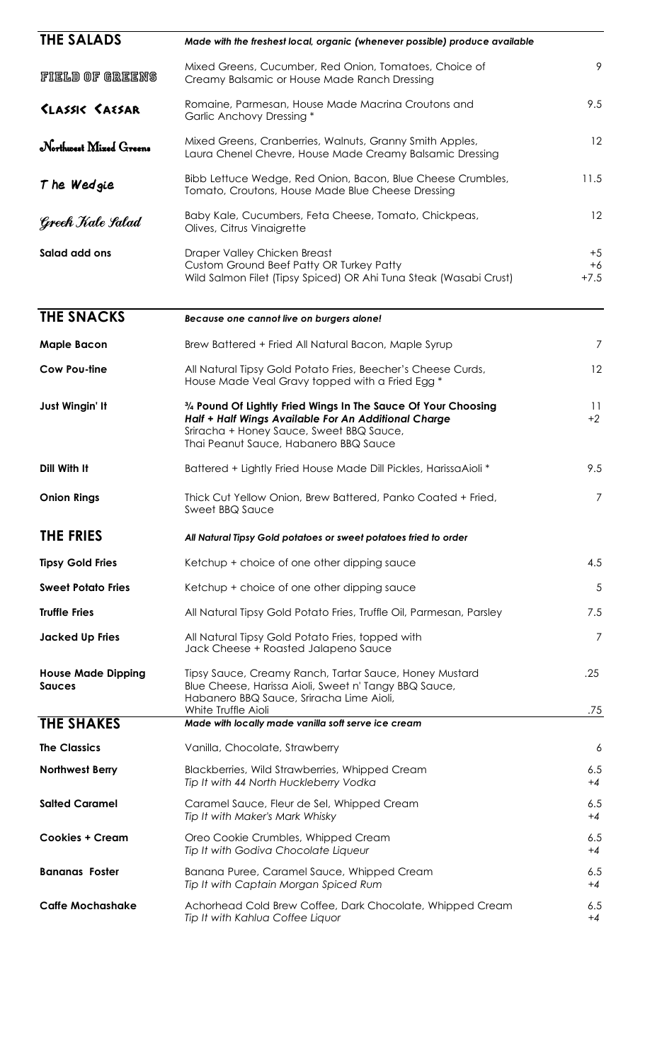| <b>THE SALADS</b>                          | Made with the freshest local, organic (whenever possible) produce available                                                                                                                                 |                        |
|--------------------------------------------|-------------------------------------------------------------------------------------------------------------------------------------------------------------------------------------------------------------|------------------------|
| FIELD OF GREENS                            | Mixed Greens, Cucumber, Red Onion, Tomatoes, Choice of<br>Creamy Balsamic or House Made Ranch Dressing                                                                                                      | 9                      |
| <b><i>SLASSIC SAESAR</i></b>               | Romaine, Parmesan, House Made Macrina Croutons and<br>Garlic Anchovy Dressing *                                                                                                                             | 9.5                    |
| Northwest Mixed Greens                     | Mixed Greens, Cranberries, Walnuts, Granny Smith Apples,<br>Laura Chenel Chevre, House Made Creamy Balsamic Dressing                                                                                        | 12                     |
| The Wedgie                                 | Bibb Lettuce Wedge, Red Onion, Bacon, Blue Cheese Crumbles,<br>Tomato, Croutons, House Made Blue Cheese Dressing                                                                                            | 11.5                   |
| Greek Kale Salad                           | Baby Kale, Cucumbers, Feta Cheese, Tomato, Chickpeas,<br>Olives, Citrus Vinaigrette                                                                                                                         | 12                     |
| Salad add ons                              | Draper Valley Chicken Breast<br>Custom Ground Beef Patty OR Turkey Patty<br>Wild Salmon Filet (Tipsy Spiced) OR Ahi Tuna Steak (Wasabi Crust)                                                               | $+5$<br>$+6$<br>$+7.5$ |
| <b>THE SNACKS</b>                          | Because one cannot live on burgers alone!                                                                                                                                                                   |                        |
| <b>Maple Bacon</b>                         | Brew Battered + Fried All Natural Bacon, Maple Syrup                                                                                                                                                        | $\overline{7}$         |
| <b>Cow Pou-tine</b>                        | All Natural Tipsy Gold Potato Fries, Beecher's Cheese Curds,<br>House Made Veal Gravy topped with a Fried Egg *                                                                                             | 12                     |
| Just Wingin' It                            | 3/4 Pound Of Lightly Fried Wings In The Sauce Of Your Choosing<br>Half + Half Wings Available For An Additional Charge<br>Sriracha + Honey Sauce, Sweet BBQ Sauce,<br>Thai Peanut Sauce, Habanero BBQ Sauce | 11<br>$+2$             |
| Dill With It                               | Battered + Lightly Fried House Made Dill Pickles, HarissaAioli *                                                                                                                                            | 9.5                    |
| <b>Onion Rings</b>                         | Thick Cut Yellow Onion, Brew Battered, Panko Coated + Fried,<br><b>Sweet BBQ Sauce</b>                                                                                                                      | 7                      |
| <b>THE FRIES</b>                           | All Natural Tipsy Gold potatoes or sweet potatoes fried to order                                                                                                                                            |                        |
| <b>Tipsy Gold Fries</b>                    | Ketchup + choice of one other dipping sauce                                                                                                                                                                 | 4.5                    |
| <b>Sweet Potato Fries</b>                  | Ketchup + choice of one other dipping sauce                                                                                                                                                                 | 5                      |
| <b>Truffle Fries</b>                       | All Natural Tipsy Gold Potato Fries, Truffle Oil, Parmesan, Parsley                                                                                                                                         | 7.5                    |
| <b>Jacked Up Fries</b>                     | All Natural Tipsy Gold Potato Fries, topped with<br>Jack Cheese + Roasted Jalapeno Sauce                                                                                                                    | $\overline{7}$         |
| <b>House Made Dipping</b><br><b>Sauces</b> | Tipsy Sauce, Creamy Ranch, Tartar Sauce, Honey Mustard<br>Blue Cheese, Harissa Aioli, Sweet n' Tangy BBQ Sauce,<br>Habanero BBQ Sauce, Sriracha Lime Aioli,<br>White Truffle Aioli                          | .25<br>.75             |
| <b>THE SHAKES</b>                          | Made with locally made vanilla soft serve ice cream                                                                                                                                                         |                        |
| <b>The Classics</b>                        | Vanilla, Chocolate, Strawberry                                                                                                                                                                              | 6                      |
| <b>Northwest Berry</b>                     | Blackberries, Wild Strawberries, Whipped Cream<br>Tip It with 44 North Huckleberry Vodka                                                                                                                    | 6.5<br>$+4$            |
| <b>Salted Caramel</b>                      | Caramel Sauce, Fleur de Sel, Whipped Cream<br>Tip It with Maker's Mark Whisky                                                                                                                               | 6.5<br>$+4$            |
| <b>Cookies + Cream</b>                     | Oreo Cookie Crumbles, Whipped Cream<br>Tip It with Godiva Chocolate Liqueur                                                                                                                                 | 6.5<br>$+4$            |
| <b>Bananas Foster</b>                      | Banana Puree, Caramel Sauce, Whipped Cream<br>Tip It with Captain Morgan Spiced Rum                                                                                                                         | 6.5<br>$+4$            |
| <b>Caffe Mochashake</b>                    | Achorhead Cold Brew Coffee, Dark Chocolate, Whipped Cream<br>Tip It with Kahlua Coffee Liquor                                                                                                               | 6.5<br>$+4$            |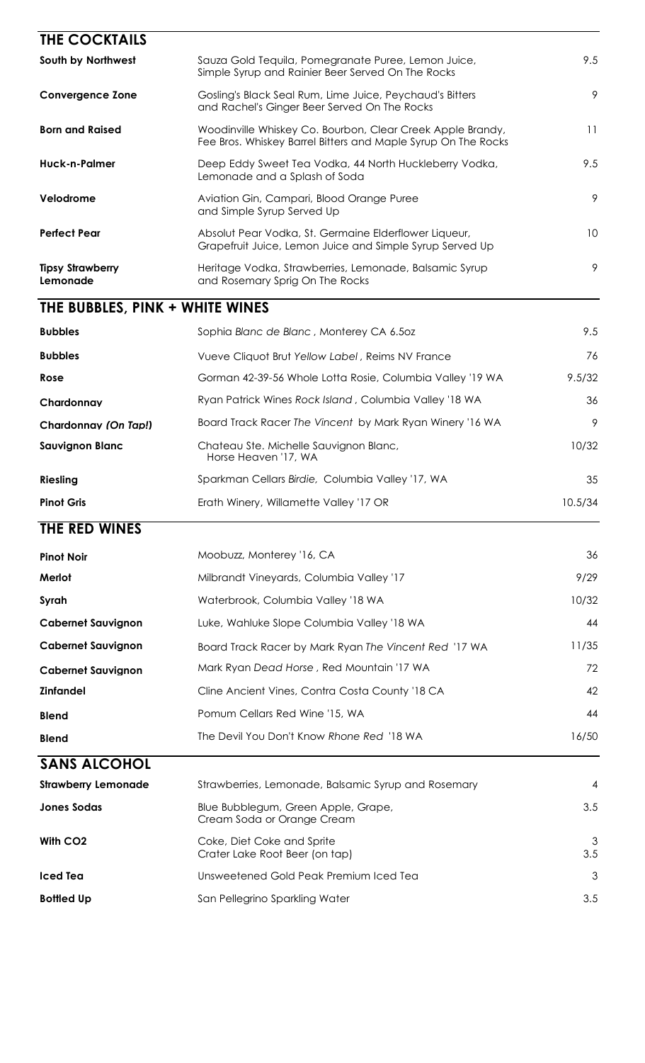| THE COCKTAILS                       |                                                                                                                             |          |
|-------------------------------------|-----------------------------------------------------------------------------------------------------------------------------|----------|
| South by Northwest                  | Sauza Gold Tequila, Pomegranate Puree, Lemon Juice,<br>Simple Syrup and Rainier Beer Served On The Rocks                    | 9.5      |
| <b>Convergence Zone</b>             | Gosling's Black Seal Rum, Lime Juice, Peychaud's Bitters<br>and Rachel's Ginger Beer Served On The Rocks                    | 9        |
| <b>Born and Raised</b>              | Woodinville Whiskey Co. Bourbon, Clear Creek Apple Brandy,<br>Fee Bros. Whiskey Barrel Bitters and Maple Syrup On The Rocks | 11       |
| Huck-n-Palmer                       | Deep Eddy Sweet Tea Vodka, 44 North Huckleberry Vodka,<br>Lemonade and a Splash of Soda                                     | 9.5      |
| Velodrome                           | Aviation Gin, Campari, Blood Orange Puree<br>and Simple Syrup Served Up                                                     | 9        |
| <b>Perfect Pear</b>                 | Absolut Pear Vodka, St. Germaine Elderflower Liqueur,<br>Grapefruit Juice, Lemon Juice and Simple Syrup Served Up           | 10       |
| <b>Tipsy Strawberry</b><br>Lemonade | Heritage Vodka, Strawberries, Lemonade, Balsamic Syrup<br>and Rosemary Sprig On The Rocks                                   | 9        |
| THE BUBBLES, PINK + WHITE WINES     |                                                                                                                             |          |
| <b>Bubbles</b>                      | Sophia Blanc de Blanc, Monterey CA 6.50z                                                                                    | 9.5      |
| <b>Bubbles</b>                      | Vueve Cliquot Brut Yellow Label, Reims NV France                                                                            | 76       |
| Rose                                | Gorman 42-39-56 Whole Lotta Rosie, Columbia Valley '19 WA                                                                   | 9.5/32   |
| Chardonnay                          | Ryan Patrick Wines Rock Island, Columbia Valley '18 WA                                                                      | 36       |
| Chardonnay (On Tap!)                | Board Track Racer The Vincent by Mark Ryan Winery '16 WA                                                                    | 9        |
| <b>Sauvignon Blanc</b>              | Chateau Ste. Michelle Sauvignon Blanc,<br>Horse Heaven '17, WA                                                              | 10/32    |
| <b>Riesling</b>                     | Sparkman Cellars Birdie, Columbia Valley '17, WA                                                                            | 35       |
| <b>Pinot Gris</b>                   | Erath Winery, Willamette Valley '17 OR                                                                                      | 10.5/34  |
| THE RED WINES                       |                                                                                                                             |          |
| <b>Pinot Noir</b>                   | Moobuzz, Monterey '16, CA                                                                                                   | 36       |
| Merlot                              | Milbrandt Vineyards, Columbia Valley '17                                                                                    | 9/29     |
| Syrah                               | Waterbrook, Columbia Valley '18 WA                                                                                          | 10/32    |
| <b>Cabernet Sauvignon</b>           | Luke, Wahluke Slope Columbia Valley '18 WA                                                                                  | 44       |
| <b>Cabernet Sauvignon</b>           | Board Track Racer by Mark Ryan The Vincent Red '17 WA                                                                       | 11/35    |
| <b>Cabernet Sauvignon</b>           | Mark Ryan Dead Horse, Red Mountain '17 WA                                                                                   | 72       |
| <b>Zinfandel</b>                    | Cline Ancient Vines, Contra Costa County '18 CA                                                                             | 42       |
| <b>Blend</b>                        | Pomum Cellars Red Wine '15, WA                                                                                              | 44       |
| <b>Blend</b>                        | The Devil You Don't Know Rhone Red '18 WA                                                                                   | 16/50    |
| <b>SANS ALCOHOL</b>                 |                                                                                                                             |          |
| <b>Strawberry Lemonade</b>          | Strawberries, Lemonade, Balsamic Syrup and Rosemary                                                                         | 4        |
| <b>Jones Sodas</b>                  | Blue Bubblegum, Green Apple, Grape,<br>Cream Soda or Orange Cream                                                           | 3.5      |
| With CO <sub>2</sub>                | Coke, Diet Coke and Sprite<br>Crater Lake Root Beer (on tap)                                                                | 3<br>3.5 |
| <b>Iced Tea</b>                     | Unsweetened Gold Peak Premium Iced Tea                                                                                      | 3        |
|                                     |                                                                                                                             |          |